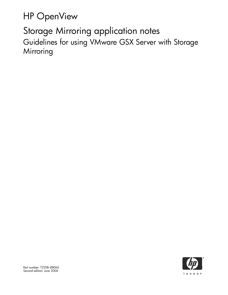HP OpenView

Storage Mirroring application notes Guidelines for using VMware GSX Server with Storage **Mirroring** 

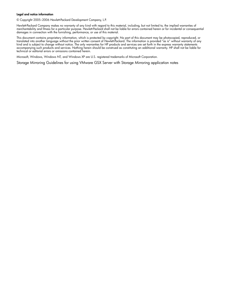#### Legal and notice information

© Copyright 2005–2006 Hewlett-Packard Development Company, L.P.

Hewlett-Packard Company makes no warranty of any kind with regard to this material, including, but not limited to, the implied warranties of merchantability and fitness for a particular purpose. Hewlett-Packard shall not be liable for errors contained herein or for incidental or consequential damages in connection with the furnishing, performance, or use of this material.

This document contains proprietary information, which is protected by copyright. No part of this document may be photocopied, reproduced, or translated into another language without the prior written consent of Hewlett-Packard. The information is provided "as is" without warranty of any kind and is subject to change without notice. The only warranties for HP products and services are set forth in the express warranty statements accompanying such products and services. Nothing herein should be construed as constituting an additional warranty. HP shall not be liable for technical or editorial errors or omissions contained herein.

Microsoft, Windows, Windows NT, and Windows XP are U.S. registered trademarks of Microsoft Corporation.

<span id="page-1-0"></span>Storage Mirroring Guidelines for using VMware GSX Server with Storage Mirroring application notes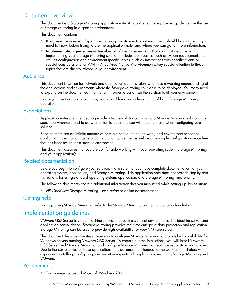# Document overview

This document is a Storage Mirroring application note. An application note provides guidelines on the use of Storage Mirroring in a specific environment.

This document contains:

- **Document overview**—Explains what an application note contains, how it should be used, what you need to know before trying to use the application note, and where you can go for more information.
- **Implementation guidelines**—Describes all of the considerations that you must weigh when implementing your Storage Mirroring solution. Includes both basics, such as system requirements, as well as configuration and environment-specific topics, such as interactions with specific clients or special considerations for WAN (Wide Area Network) environments. Pay special attention to those topics that are directly related to your environment.

### Audience

This document is written for network and application administrators who have a working understanding of the applications and environments where the Storage Mirroring solution is to be deployed. You many need to expand on the documented information in order to customize the solution to fit your environment.

Before you use this application note, you should have an understanding of basic Storage Mirroring operation.

### **Expectations**

Application notes are intended to provide a framework for configuring a Storage Mirroring solution in a specific environment and to draw attention to decisions you will need to make when configuring your solution.

Because there are an infinite number of possible configuration, network, and environment scenarios, application notes contain general configuration guidelines as well as an example configuration procedure that has been tested for a specific environment.

This document assumes that you are comfortable working with your operating system, Storage Mirroring, and your application(s).

### Related documentation

Before you begin to configure your solution, make sure that you have complete documentation for your operating system, application, and Storage Mirroring. This application note does not provide step-by-step instructions for using standard operating system, application, and Storage Mirroring functionality.

The following documents contain additional information that you may need while setting up this solution:

• *HP OpenView* Storage Mirroring *user's guide* or online documentation

## Getting help

For help using Storage Mirroring, refer to the Storage Mirroring online manual or online help.

# Implementation guidelines

VMware GSX Server is virtual machine software for business-critical environments. It is ideal for server and application consolidation. Storage Mirroring provides real-time enterprise data protection and replication. Storage Mirroring can be used to provide high availability for your VMware server.

This document describes the steps necessary to configure Storage Mirroring to provide high availability for Windows servers running VMware GSX Server. To complete these instructions, you will install VMware GSX Server and Storage Mirroring, and configure Storage Mirroring for real-time replication and failover. Due to the complexities of these applications, this document is intended for network administrators with experience installing, configuring, and maintaining network applications, including Storage Mirroring and VMware.

### **Requirements**

• Two licensed copies of Microsoft Windows 200x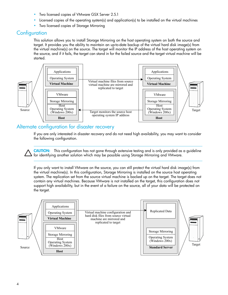- Two licensed copies of VMware GSX Server 2.5.1
- Licensed copies of the operating system(s) and application(s) to be installed on the virtual machines
- Two licensed copies of Storage Mirroring

## **Configuration**

This solution allows you to install Storage Mirroring on the host operating system on both the source and target. It provides you the ability to maintain an up-to-date backup of the virtual hard disk image(s) from the virtual machine(s) on the source. The target will monitor the IP address of the host operating system on the source, and if it fails, the target can stand in for the failed source and the target virtual machine will be started.



## Alternate configuration for disaster recovery

If you are only interested in disaster recovery and do not need high availability, you may want to consider the following configuration.

CAUTION: This configuration has not gone through extensive testing and is only provided as a guideline for identifying another solution which may be possible using Storage Mirroring and VMware.

If you only want to install VMware on the source, you can still protect the virtual hard disk image(s) from the virtual machine(s). In this configuration, Storage Mirroring is installed on the source host operating system. The replication set from the source virtual machine is backed up on the target. The target does not contain any virtual machines. Because VMware is not installed on the target, this configuration does not support high availability, but in the event of a failure on the source, all of your data will be protected on the target.

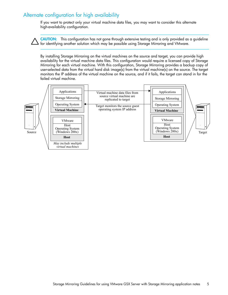# Alternate configuration for high availability

If you want to protect only your virtual machine data files, you may want to consider this alternate high-availability configuration.

CAUTION: This configuration has not gone through extensive testing and is only provided as a guideline for identifying another solution which may be possible using Storage Mirroring and VMware.

By installing Storage Mirroring on the virtual machines on the source and target, you can provide high availability for the virtual machine data files. This configuration would require a licensed copy of Storage Mirroring for each virtual machine. With this configuration, Storage Mirroring provides a backup copy of user-selected data from the virtual hard disk image(s) from the virtual machine(s) on the source. The target monitors the IP address of the virtual machine on the source, and if it fails, the target can stand in for the failed virtual machine.

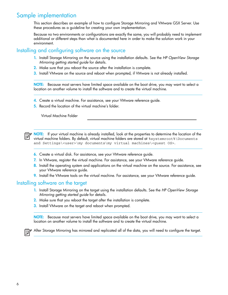# Sample implementation

This section describes an example of how to configure Storage Mirroring and VMware GSX Server. Use these procedures as a guideline for creating your own implementation.

Because no two environments or configurations are exactly the same, you will probably need to implement additional or different steps than what is documented here in order to make the solution work in your environment.

### <span id="page-5-0"></span>Installing and configuring software on the source

- 1. Install Storage Mirroring on the source using the installation defaults. See the *HP OpenView Storage Mirroring getting started guide* for details.
- 2. Make sure that you reboot the source after the installation is complete.
- 3. Install VMware on the source and reboot when prompted, if VMware is not already installed.

NOTE: Because most servers have limited space available on the boot drive, you may want to select a location on another volume to install the software and to create the virtual machine.

- 4. Create a virtual machine. For assistance, see your VMware reference guide.
- 5. Record the location of the virtual machine's folder.

Virtual Machine Folder

 $\gg$  NOTE: If your virtual machine is already installed, look at the properties to determine the location of the virtual machine folders. By default, virtual machine folders are stored at %systemroot%\Documents and Settings\<user>\my documents\my virtual machines\<guest OS>.

- 6. Create a virtual disk. For assistance, see your VMware reference guide.
- 7. In VMware, register the virtual machine. For assistance, see your VMware reference guide.
- 8. Install the operating system and applications on the virtual machine on the source. For assistance, see your VMware reference guide.
- 9. Install the VMware tools on the virtual machine. For assistance, see your VMware reference guide.

### Installing software on the target

- 1. Install Storage Mirroring on the target using the installation defaults. See the *HP OpenView Storage Mirroring getting started guide* for details.
- 2. Make sure that you reboot the target after the installation is complete.
- 3. Install VMware on the target and reboot when prompted.

NOTE: Because most servers have limited space available on the boot drive, you may want to select a location on another volume to install the software and to create the virtual machine.

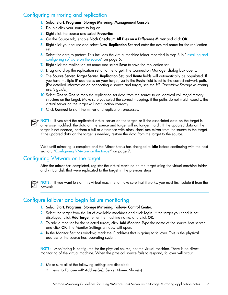# <span id="page-6-1"></span>Configuring mirroring and replication

- 1. Select Start, Programs, Storage Mirroring, Management Console.
- 2. Double-click your source to log on.
- **3.** Right-click the source and select **Properties**.
- 4. On the Source tab, enable **Block Checksum All Files on a Difference Mirror** and click OK.
- 5. Right-click your source and select New, Replication Set and enter the desired name for the replication set.
- 6. Select the data to protect. This includes the virtual machine folder recorded in step 5 in ["Installing and](#page-5-0)  [configuring software on the source" on page 6.](#page-5-0)
- **7.** Right-click the replication set name and select **Save** to save the replication set.
- 8. Drag and drop the replication set onto the target. The Connection Manager dialog box opens.
- 9. The Source Server, Target Server, Replication Set, and Route fields will automatically be populated. If you have multiple IP addresses on your target, verify the Route field is set to the correct network path. (For detailed information on connecting a source and target, see the *HP OpenView Storage Mirroring user's guide*.)
- 10. Select One to One to map the replication set data from the source to an identical volume/directory structure on the target. Make sure you select the correct mapping; if the paths do not match exactly, the virtual server on the target will not function correctly.
- **11.** Click **Connect** to start the mirror and replication processes.

 $\frac{19999}{261}$  NOTE: If you start the replicated virtual server on the target, or if the associated data on the target is otherwise modified, the data on the source and target will no longer match. If the updated data on the target is not needed, perform a full or difference with block checksum mirror from the source to the target. If the updated data on the target is needed, restore the data from the target to the source.

Wait until mirroring is complete and the Mirror Status has changed to **Idle** before continuing with the next section, ["Configuring VMware on the target" on page 7](#page-6-0).

### <span id="page-6-0"></span>Configuring VMware on the target

After the mirror has completed, register the virtual machine on the target using the virtual machine folder and virtual disk that were replicated to the target in the previous steps.



NOTE: If you want to start this virtual machine to make sure that it works, you must first isolate it from the network.

### Configure failover and begin failure monitoring

- 1. Select Start, Programs, Storage Mirroring, Failover Control Center.
- 2. Select the target from the list of available machines and click Login. If the target you need is not displayed, click Add Target, enter the machine name, and click OK.
- 3. To add a monitor for the selected target, click Add Monitor. Type the name of the source host server and click OK. The Monitor Settings window will open.
- 4. In the Monitor Settings window, mark the IP address that is going to failover. This is the physical address of the source host operating system.

NOTE: Monitoring is configured for the physical source, not the virtual machine. There is no direct monitoring of the virtual machine. When the physical source fails to respond, failover will occur.

- 5. Make sure all of the following settings are disabled:
	- Items to Failover—IP Address(es), Server Name, Share(s)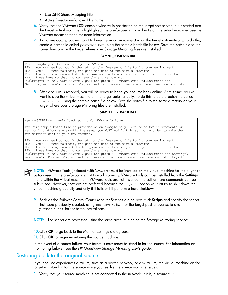- Use .SHR Share Mapping File
- Active Directory—Failover Hostname
- 6. Verify that the VMware GSX console window is not started on the target host server. If it is started and the target virtual machine is highlighted, the pre-failover script will not start the virtual machine. See the VMware documentation for more information.
- 7. If a failure occurs, you will want to have the virtual machine start on the target automatically. To do this, create a batch file called postover.bat using the sample batch file below. Save the batch file to the same directory on the target where your Storage Mirroring files are installed.

### SAMPLE\_POSTOVER.BAT

| REM                                                                                          | Sample post-failover script for VMware                                            |
|----------------------------------------------------------------------------------------------|-----------------------------------------------------------------------------------|
| REM                                                                                          | You may need to modify the path to the WMware-cmd file to fit your environment.   |
| REM                                                                                          | You will need to modify the path and name of the virtual machine.                 |
| REM                                                                                          | The following command should appear as one line in your script file. It is on two |
|                                                                                              | REM lines here so that you can see the entire command.                            |
| "C:\Program Files\VMware\VMware VMperl Scripting API vmware-cmd" "c:\Documents and           |                                                                                   |
| Settings\user name\My Documents\my virtual machines\machine type dir\machine type.vmx" start |                                                                                   |

8. After a failure is resolved, you will be ready to bring your source back online. At this time, you will want to stop the virtual machine on the target automatically. To do this, create a batch file called preback.bat using the sample batch file below. Save the batch file to the same directory on your target where your Storage Mirroring files are installed.

#### SAMPLE\_PREBACK.BAT

rem \*\*\*SAMPLE\*\*\* pre-failback script for VMware failover rem This sample batch file is provided as an example only. Because no two environments or rem configurations are exactly the same, you MUST modify this script in order to make the rem solution work in your environment. REM You may need to modify the path to the VMware-cmd file to fit your environment. REM You will need to modify the path and name of the virtual machine REM The following command should appear as one line in your script file. It is on two REM lines here so that you can see the entire command. "C:\Program Files\VMware\VMware VMperl Scripting API vmware-cmd" "c:\Documents and Settings\ user\_name\My Documents\my virtual machines\machine\_type\_dir\machine\_type.vmx" stop trysoft

NOTE: VMware Tools (included with VMware) must be installed on the virtual machine for the <code>trysoft</code> option used in the pre-failback script to work correctly. VMware tools can be installed from the Settings menu within the virtual machine. If VMware tools are not installed, the soft or hard commands can be substituted. However, they are not preferred because the trysoft option will first try to shut down the virtual machine gracefully and only if it fails will it perform a hard shutdown.

**9.** Back on the Failover Control Center Monitor Settings dialog box, click **Scripts** and specify the scripts that were previously created, using postover.bat for the target post-failover scrip and preback.bat for the target pre-failback.

NOTE: The scripts are processed using the same account running the Storage Mirroring services.

10. Click OK to go back to the Monitor Settings dialog box.

11. Click OK to begin monitoring the source machine.

In the event of a source failure, your target is now ready to stand in for the source. For information on monitoring failover, see the *HP OpenView Storage Mirroring user's guide*.

### Restoring back to the original source

If your source experiences a failure, such as a power, network, or disk failure, the virtual machine on the target will stand in for the source while you resolve the source machine issues.

1. Verify that your source machine is not connected to the network. If it is, disconnect it.